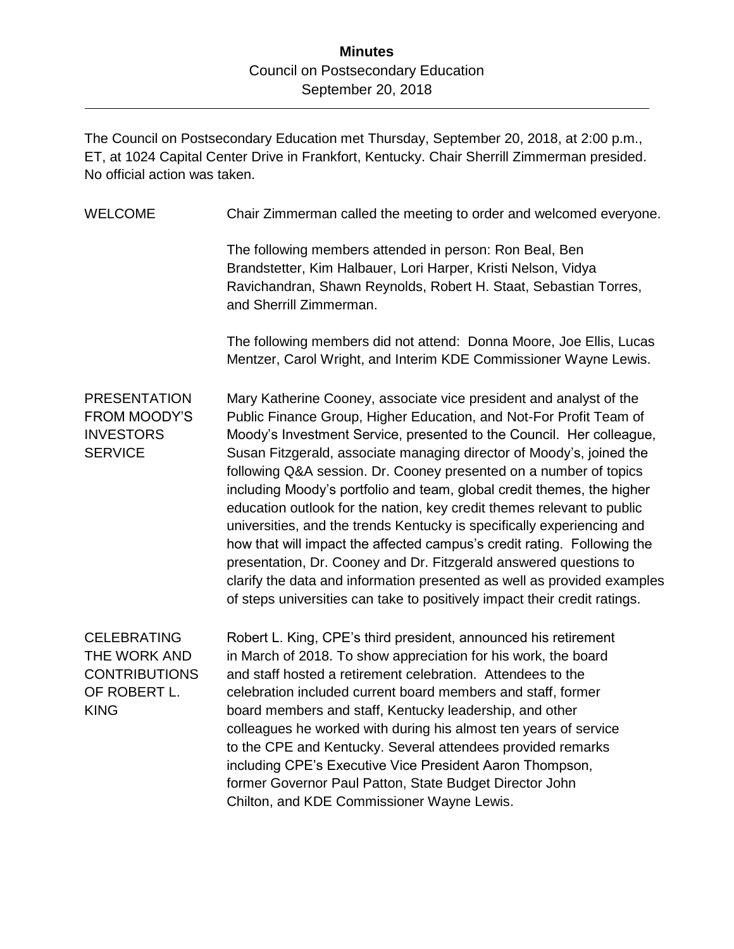## **Minutes** Council on Postsecondary Education September 20, 2018

The Council on Postsecondary Education met Thursday, September 20, 2018, at 2:00 p.m., ET, at 1024 Capital Center Drive in Frankfort, Kentucky. Chair Sherrill Zimmerman presided. No official action was taken.

| <b>WELCOME</b>                                                                            | Chair Zimmerman called the meeting to order and welcomed everyone.                                                                                                                                                                                                                                                                                                                                                                                                                                                                                                                                                                                                                                                                                                                                                                                                                                  |
|-------------------------------------------------------------------------------------------|-----------------------------------------------------------------------------------------------------------------------------------------------------------------------------------------------------------------------------------------------------------------------------------------------------------------------------------------------------------------------------------------------------------------------------------------------------------------------------------------------------------------------------------------------------------------------------------------------------------------------------------------------------------------------------------------------------------------------------------------------------------------------------------------------------------------------------------------------------------------------------------------------------|
|                                                                                           | The following members attended in person: Ron Beal, Ben<br>Brandstetter, Kim Halbauer, Lori Harper, Kristi Nelson, Vidya<br>Ravichandran, Shawn Reynolds, Robert H. Staat, Sebastian Torres,<br>and Sherrill Zimmerman.                                                                                                                                                                                                                                                                                                                                                                                                                                                                                                                                                                                                                                                                             |
|                                                                                           | The following members did not attend: Donna Moore, Joe Ellis, Lucas<br>Mentzer, Carol Wright, and Interim KDE Commissioner Wayne Lewis.                                                                                                                                                                                                                                                                                                                                                                                                                                                                                                                                                                                                                                                                                                                                                             |
| <b>PRESENTATION</b><br><b>FROM MOODY'S</b><br><b>INVESTORS</b><br><b>SERVICE</b>          | Mary Katherine Cooney, associate vice president and analyst of the<br>Public Finance Group, Higher Education, and Not-For Profit Team of<br>Moody's Investment Service, presented to the Council. Her colleague,<br>Susan Fitzgerald, associate managing director of Moody's, joined the<br>following Q&A session. Dr. Cooney presented on a number of topics<br>including Moody's portfolio and team, global credit themes, the higher<br>education outlook for the nation, key credit themes relevant to public<br>universities, and the trends Kentucky is specifically experiencing and<br>how that will impact the affected campus's credit rating. Following the<br>presentation, Dr. Cooney and Dr. Fitzgerald answered questions to<br>clarify the data and information presented as well as provided examples<br>of steps universities can take to positively impact their credit ratings. |
| <b>CELEBRATING</b><br>THE WORK AND<br><b>CONTRIBUTIONS</b><br>OF ROBERT L.<br><b>KING</b> | Robert L. King, CPE's third president, announced his retirement<br>in March of 2018. To show appreciation for his work, the board<br>and staff hosted a retirement celebration. Attendees to the<br>celebration included current board members and staff, former<br>board members and staff, Kentucky leadership, and other<br>colleagues he worked with during his almost ten years of service<br>to the CPE and Kentucky. Several attendees provided remarks<br>including CPE's Executive Vice President Aaron Thompson,<br>former Governor Paul Patton, State Budget Director John<br>Chilton, and KDE Commissioner Wayne Lewis.                                                                                                                                                                                                                                                                 |